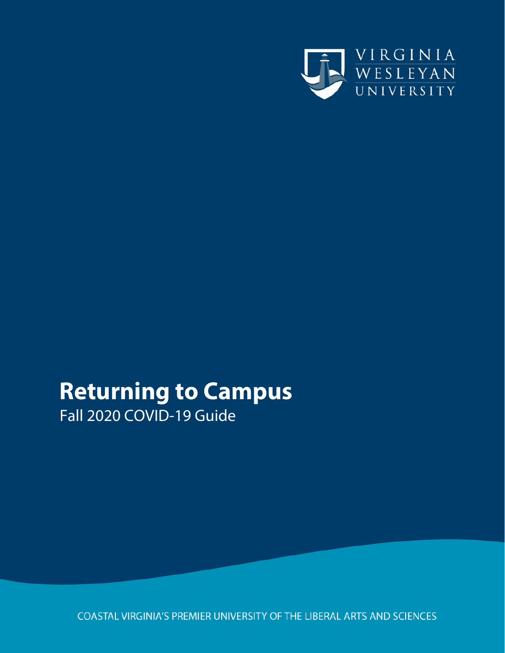

## **Returning to Campus** Fall 2020 COVID-19 Guide

COASTAL VIRGINIA'S PREMIER UNIVERSITY OF THE LIBERAL ARTS AND SCIENCES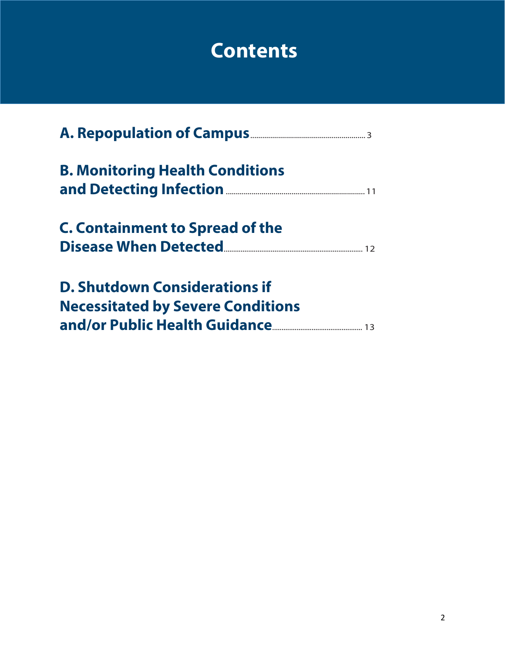## **Contents**

| <b>B. Monitoring Health Conditions</b>                                                                               |  |
|----------------------------------------------------------------------------------------------------------------------|--|
| <b>C. Containment to Spread of the</b>                                                                               |  |
| <b>D. Shutdown Considerations if</b><br><b>Necessitated by Severe Conditions</b><br>and/or Public Health Guidance 13 |  |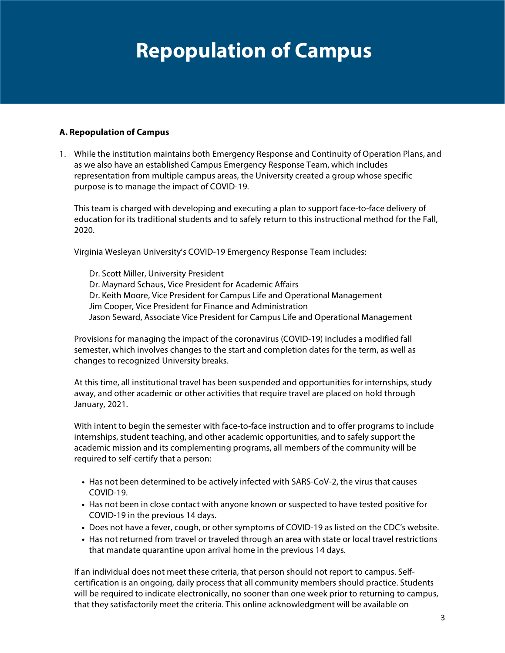## **Repopulation of Campus**

#### **A. Repopulation of Campus**

1. While the institution maintains both Emergency Response and Continuity of Operation Plans, and as we also have an established Campus Emergency Response Team, which includes representation from multiple campus areas, the University created a group whose specific purpose is to manage the impact of COVID-19.

This team is charged with developing and executing a plan to support face-to-face delivery of education for its traditional students and to safely return to this instructional method for the Fall, 2020.

Virginia Wesleyan University's COVID-19 Emergency Response Team includes:

Dr. Scott Miller, University President Dr. Maynard Schaus, Vice President for Academic Affairs Dr. Keith Moore, Vice President for Campus Life and Operational Management Jim Cooper, Vice President for Finance and Administration Jason Seward, Associate Vice President for Campus Life and Operational Management

Provisions for managing the impact of the coronavirus (COVID-19) includes a modified fall semester, which involves changes to the start and completion dates for the term, as well as changes to recognized University breaks.

At this time, all institutional travel has been suspended and opportunities for internships, study away, and other academic or other activities that require travel are placed on hold through January, 2021.

With intent to begin the semester with face-to-face instruction and to offer programs to include internships, student teaching, and other academic opportunities, and to safely support the academic mission and its complementing programs, all members of the community will be required to self-certify that a person:

- Has not been determined to be actively infected with SARS-CoV-2, the virus that causes COVID-19.
- Has not been in close contact with anyone known or suspected to have tested positive for COVID-19 in the previous 14 days.
- Does not have a fever, cough, or other symptoms of COVID-19 as listed on the CDC's website.
- Has not returned from travel or traveled through an area with state or local travel restrictions that mandate quarantine upon arrival home in the previous 14 days.

If an individual does not meet these criteria, that person should not report to campus. Selfcertification is an ongoing, daily process that all community members should practice. Students will be required to indicate electronically, no sooner than one week prior to returning to campus, that they satisfactorily meet the criteria. This online acknowledgment will be available on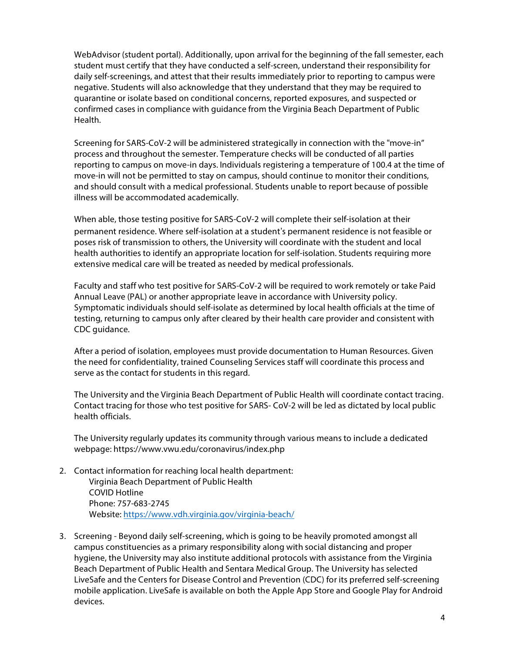WebAdvisor (student portal). Additionally, upon arrival for the beginning of the fall semester, each student must certify that they have conducted a self-screen, understand their responsibility for daily self-screenings, and attest that their results immediately prior to reporting to campus were negative. Students will also acknowledge that they understand that they may be required to quarantine or isolate based on conditional concerns, reported exposures, and suspected or confirmed cases in compliance with guidance from the Virginia Beach Department of Public Health.

Screening for SARS-CoV-2 will be administered strategically in connection with the "move-in" process and throughout the semester. Temperature checks will be conducted of all parties reporting to campus on move-in days. Individuals registering a temperature of 100.4 at the time of move-in will not be permitted to stay on campus, should continue to monitor their conditions, and should consult with a medical professional. Students unable to report because of possible illness will be accommodated academically.

When able, those testing positive for SARS-CoV-2 will complete their self-isolation at their permanent residence. Where self-isolation at a student's permanent residence is not feasible or poses risk of transmission to others, the University will coordinate with the student and local health authorities to identify an appropriate location for self-isolation. Students requiring more extensive medical care will be treated as needed by medical professionals.

Faculty and staff who test positive for SARS-CoV-2 will be required to work remotely or take Paid Annual Leave (PAL) or another appropriate leave in accordance with University policy. Symptomatic individuals should self-isolate as determined by local health officials at the time of testing, returning to campus only after cleared by their health care provider and consistent with CDC guidance.

After a period of isolation, employees must provide documentation to Human Resources. Given the need for confidentiality, trained Counseling Services staff will coordinate this process and serve as the contact for students in this regard.

The University and the Virginia Beach Department of Public Health will coordinate contact tracing. Contact tracing for those who test positive for SARS- CoV-2 will be led as dictated by local public health officials.

The University regularly updates its community through various means to include a dedicated webpage: https://www.vwu.edu/coronavirus/index.php

2. Contact information for reaching local health department:

Virginia Beach Department of Public Health COVID Hotline Phone: 757-683-2745 Website: https://www.vdh.virginia.gov/virginia-beach/

3. Screening - Beyond daily self-screening, which is going to be heavily promoted amongst all campus constituencies as a primary responsibility along with social distancing and proper hygiene, the University may also institute additional protocols with assistance from the Virginia Beach Department of Public Health and Sentara Medical Group. The University has selected LiveSafe and the Centers for Disease Control and Prevention (CDC) for its preferred self-screening mobile application. LiveSafe is available on both the Apple App Store and Google Play for Android devices.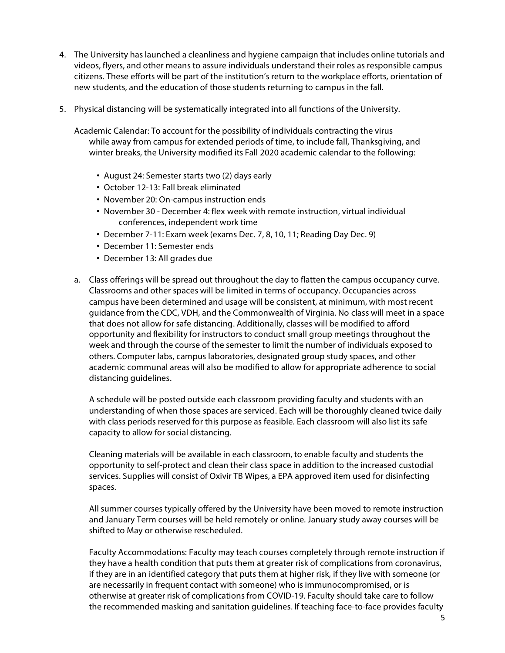- 4. The University has launched a cleanliness and hygiene campaign that includes online tutorials and videos, flyers, and other means to assure individuals understand their roles as responsible campus citizens. These efforts will be part of the institution's return to the workplace efforts, orientation of new students, and the education of those students returning to campus in the fall.
- 5. Physical distancing will be systematically integrated into all functions of the University.
	- Academic Calendar: To account for the possibility of individuals contracting the virus while away from campus for extended periods of time, to include fall, Thanksgiving, and winter breaks, the University modified its Fall 2020 academic calendar to the following:
		- August 24: Semester starts two (2) days early
		- October 12-13: Fall break eliminated
		- November 20: On-campus instruction ends
		- November 30 December 4: flex week with remote instruction, virtual individual conferences, independent work time
		- December 7-11: Exam week (exams Dec. 7, 8, 10, 11; Reading Day Dec. 9)
		- December 11: Semester ends
		- December 13: All grades due
	- a. Class offerings will be spread out throughout the day to flatten the campus occupancy curve. Classrooms and other spaces will be limited in terms of occupancy. Occupancies across campus have been determined and usage will be consistent, at minimum, with most recent guidance from the CDC, VDH, and the Commonwealth of Virginia. No class will meet in a space that does not allow for safe distancing. Additionally, classes will be modified to afford opportunity and flexibility for instructors to conduct small group meetings throughout the week and through the course of the semester to limit the number of individuals exposed to others. Computer labs, campus laboratories, designated group study spaces, and other academic communal areas will also be modified to allow for appropriate adherence to social distancing guidelines.

A schedule will be posted outside each classroom providing faculty and students with an understanding of when those spaces are serviced. Each will be thoroughly cleaned twice daily with class periods reserved for this purpose as feasible. Each classroom will also list its safe capacity to allow for social distancing.

Cleaning materials will be available in each classroom, to enable faculty and students the opportunity to self-protect and clean their class space in addition to the increased custodial services. Supplies will consist of Oxivir TB Wipes, a EPA approved item used for disinfecting spaces.

All summer courses typically offered by the University have been moved to remote instruction and January Term courses will be held remotely or online. January study away courses will be shifted to May or otherwise rescheduled.

Faculty Accommodations: Faculty may teach courses completely through remote instruction if they have a health condition that puts them at greater risk of complications from coronavirus, if they are in an identified category that puts them at higher risk, if they live with someone (or are necessarily in frequent contact with someone) who is immunocompromised, or is otherwise at greater risk of complications from COVID-19. Faculty should take care to follow the recommended masking and sanitation guidelines. If teaching face-to-face provides faculty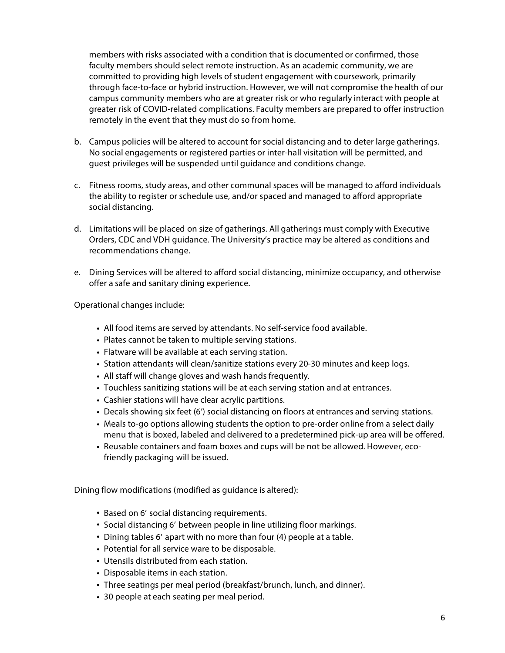members with risks associated with a condition that is documented or confirmed, those faculty members should select remote instruction. As an academic community, we are committed to providing high levels of student engagement with coursework, primarily through face-to-face or hybrid instruction. However, we will not compromise the health of our campus community members who are at greater risk or who regularly interact with people at greater risk of COVID-related complications. Faculty members are prepared to offer instruction remotely in the event that they must do so from home.

- b. Campus policies will be altered to account for social distancing and to deter large gatherings. No social engagements or registered parties or inter-hall visitation will be permitted, and guest privileges will be suspended until guidance and conditions change.
- c. Fitness rooms, study areas, and other communal spaces will be managed to afford individuals the ability to register or schedule use, and/or spaced and managed to afford appropriate social distancing.
- d. Limitations will be placed on size of gatherings. All gatherings must comply with Executive Orders, CDC and VDH guidance. The University's practice may be altered as conditions and recommendations change.
- e. Dining Services will be altered to afford social distancing, minimize occupancy, and otherwise offer a safe and sanitary dining experience.

Operational changes include:

- All food items are served by attendants. No self-service food available.
- Plates cannot be taken to multiple serving stations.
- Flatware will be available at each serving station.
- Station attendants will clean/sanitize stations every 20-30 minutes and keep logs.
- All staff will change gloves and wash hands frequently.
- Touchless sanitizing stations will be at each serving station and at entrances.
- Cashier stations will have clear acrylic partitions.
- Decals showing six feet (6') social distancing on floors at entrances and serving stations.
- Meals to-go options allowing students the option to pre-order online from a select daily menu that is boxed, labeled and delivered to a predetermined pick-up area will be offered.
- Reusable containers and foam boxes and cups will be not be allowed. However, ecofriendly packaging will be issued.

Dining flow modifications (modified as guidance is altered):

- Based on 6' social distancing requirements.
- Social distancing 6' between people in line utilizing floor markings.
- Dining tables 6' apart with no more than four (4) people at a table.
- Potential for all service ware to be disposable.
- Utensils distributed from each station.
- Disposable items in each station.
- Three seatings per meal period (breakfast/brunch, lunch, and dinner).
- 30 people at each seating per meal period.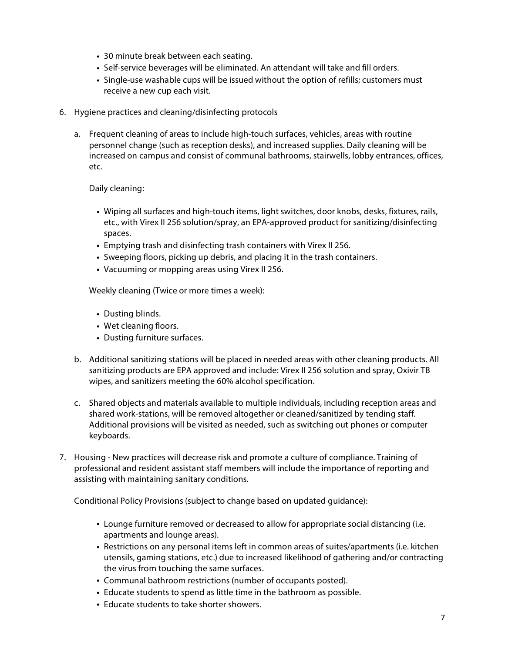- 30 minute break between each seating.
- Self-service beverages will be eliminated. An attendant will take and fill orders.
- Single-use washable cups will be issued without the option of refills; customers must receive a new cup each visit.
- 6. Hygiene practices and cleaning/disinfecting protocols
	- a. Frequent cleaning of areas to include high-touch surfaces, vehicles, areas with routine personnel change (such as reception desks), and increased supplies. Daily cleaning will be increased on campus and consist of communal bathrooms, stairwells, lobby entrances, offices, etc.

Daily cleaning:

- Wiping all surfaces and high-touch items, light switches, door knobs, desks, fixtures, rails, etc., with Virex II 256 solution/spray, an EPA-approved product for sanitizing/disinfecting spaces.
- Emptying trash and disinfecting trash containers with Virex II 256.
- Sweeping floors, picking up debris, and placing it in the trash containers.
- Vacuuming or mopping areas using Virex II 256.

Weekly cleaning (Twice or more times a week):

- Dusting blinds.
- Wet cleaning floors.
- Dusting furniture surfaces.
- b. Additional sanitizing stations will be placed in needed areas with other cleaning products. All sanitizing products are EPA approved and include: Virex II 256 solution and spray, Oxivir TB wipes, and sanitizers meeting the 60% alcohol specification.
- c. Shared objects and materials available to multiple individuals, including reception areas and shared work-stations, will be removed altogether or cleaned/sanitized by tending staff. Additional provisions will be visited as needed, such as switching out phones or computer keyboards.
- 7. Housing New practices will decrease risk and promote a culture of compliance. Training of professional and resident assistant staff members will include the importance of reporting and assisting with maintaining sanitary conditions.

Conditional Policy Provisions (subject to change based on updated guidance):

- Lounge furniture removed or decreased to allow for appropriate social distancing (i.e. apartments and lounge areas).
- Restrictions on any personal items left in common areas of suites/apartments (i.e. kitchen utensils, gaming stations, etc.) due to increased likelihood of gathering and/or contracting the virus from touching the same surfaces.
- Communal bathroom restrictions (number of occupants posted).
- Educate students to spend as little time in the bathroom as possible.
- Educate students to take shorter showers.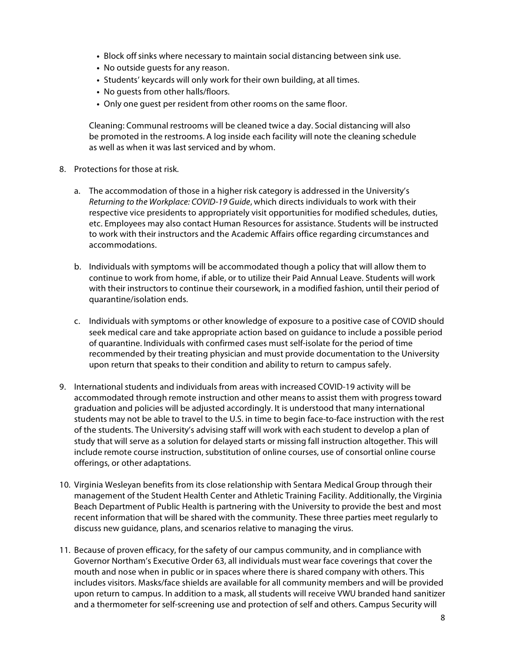- Block off sinks where necessary to maintain social distancing between sink use.
- No outside guests for any reason.
- Students' keycards will only work for their own building, at all times.
- No guests from other halls/floors.
- Only one guest per resident from other rooms on the same floor.

Cleaning: Communal restrooms will be cleaned twice a day. Social distancing will also be promoted in the restrooms. A log inside each facility will note the cleaning schedule as well as when it was last serviced and by whom.

- 8. Protections for those at risk.
	- a. The accommodation of those in a higher risk category is addressed in the University's *Returning to the Workplace: COVID-19 Guide*, which directs individuals to work with their respective vice presidents to appropriately visit opportunities for modified schedules, duties, etc. Employees may also contact Human Resources for assistance. Students will be instructed to work with their instructors and the Academic Affairs office regarding circumstances and accommodations.
	- b. Individuals with symptoms will be accommodated though a policy that will allow them to continue to work from home, if able, or to utilize their Paid Annual Leave. Students will work with their instructors to continue their coursework, in a modified fashion, until their period of quarantine/isolation ends.
	- c. Individuals with symptoms or other knowledge of exposure to a positive case of COVID should seek medical care and take appropriate action based on guidance to include a possible period of quarantine. Individuals with confirmed cases must self-isolate for the period of time recommended by their treating physician and must provide documentation to the University upon return that speaks to their condition and ability to return to campus safely.
- 9. International students and individuals from areas with increased COVID-19 activity will be accommodated through remote instruction and other means to assist them with progress toward graduation and policies will be adjusted accordingly. It is understood that many international students may not be able to travel to the U.S. in time to begin face-to-face instruction with the rest of the students. The University's advising staff will work with each student to develop a plan of study that will serve as a solution for delayed starts or missing fall instruction altogether. This will include remote course instruction, substitution of online courses, use of consortial online course offerings, or other adaptations.
- 10. Virginia Wesleyan benefits from its close relationship with Sentara Medical Group through their management of the Student Health Center and Athletic Training Facility. Additionally, the Virginia Beach Department of Public Health is partnering with the University to provide the best and most recent information that will be shared with the community. These three parties meet regularly to discuss new guidance, plans, and scenarios relative to managing the virus.
- 11. Because of proven efficacy, for the safety of our campus community, and in compliance with Governor Northam's Executive Order 63, all individuals must wear face coverings that cover the mouth and nose when in public or in spaces where there is shared company with others. This includes visitors. Masks/face shields are available for all community members and will be provided upon return to campus. In addition to a mask, all students will receive VWU branded hand sanitizer and a thermometer for self-screening use and protection of self and others. Campus Security will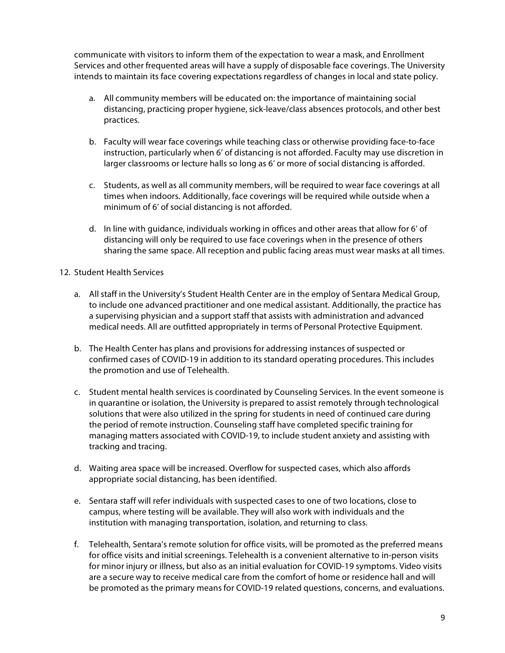communicate with visitors to inform them of the expectation to wear a mask, and Enrollment Services and other frequented areas will have a supply of disposable face coverings. The University intends to maintain its face covering expectations regardless of changes in local and state policy.

- a. All community members will be educated on: the importance of maintaining social distancing, practicing proper hygiene, sick-leave/class absences protocols, and other best practices.
- b. Faculty will wear face coverings while teaching class or otherwise providing face-to-face instruction, particularly when 6' of distancing is not afforded. Faculty may use discretion in larger classrooms or lecture halls so long as 6' or more of social distancing is afforded.
- c. Students, as well as all community members, will be required to wear face coverings at all times when indoors. Additionally, face coverings will be required while outside when a minimum of 6' of social distancing is not afforded.
- d. In line with guidance, individuals working in offices and other areas that allow for 6' of distancing will only be required to use face coverings when in the presence of others sharing the same space. All reception and public facing areas must wear masks at all times.

#### 12. Student Health Services

- a. All staff in the University's Student Health Center are in the employ of Sentara Medical Group, to include one advanced practitioner and one medical assistant. Additionally, the practice has a supervising physician and a support staff that assists with administration and advanced medical needs. All are outfitted appropriately in terms of Personal Protective Equipment.
- b. The Health Center has plans and provisions for addressing instances of suspected or confirmed cases of COVID-19 in addition to its standard operating procedures. This includes the promotion and use of Telehealth.
- c. Student mental health services is coordinated by Counseling Services. In the event someone is in quarantine or isolation, the University is prepared to assist remotely through technological solutions that were also utilized in the spring for students in need of continued care during the period of remote instruction. Counseling staff have completed specific training for managing matters associated with COVID-19, to include student anxiety and assisting with tracking and tracing.
- d. Waiting area space will be increased. Overflow for suspected cases, which also affords appropriate social distancing, has been identified.
- e. Sentara staff will refer individuals with suspected cases to one of two locations, close to campus, where testing will be available. They will also work with individuals and the institution with managing transportation, isolation, and returning to class.
- f. Telehealth, Sentara's remote solution for office visits, will be promoted as the preferred means for office visits and initial screenings. Telehealth is a convenient alternative to in-person visits for minor injury or illness, but also as an initial evaluation for COVID-19 symptoms. Video visits are a secure way to receive medical care from the comfort of home or residence hall and will be promoted as the primary means for COVID-19 related questions, concerns, and evaluations.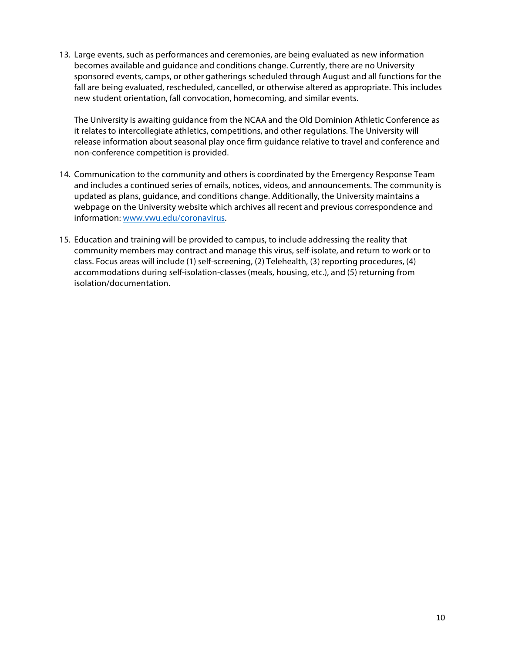13. Large events, such as performances and ceremonies, are being evaluated as new information becomes available and guidance and conditions change. Currently, there are no University sponsored events, camps, or other gatherings scheduled through August and all functions for the fall are being evaluated, rescheduled, cancelled, or otherwise altered as appropriate. This includes new student orientation, fall convocation, homecoming, and similar events.

The University is awaiting guidance from the NCAA and the Old Dominion Athletic Conference as it relates to intercollegiate athletics, competitions, and other regulations. The University will release information about seasonal play once firm guidance relative to travel and conference and non-conference competition is provided.

- 14. Communication to the community and others is coordinated by the Emergency Response Team and includes a continued series of emails, notices, videos, and announcements. The community is updated as plans, guidance, and conditions change. Additionally, the University maintains a webpage on the University website which archives all recent and previous correspondence and information: www.vwu.edu/coronavirus.
- 15. Education and training will be provided to campus, to include addressing the reality that community members may contract and manage this virus, self-isolate, and return to work or to class. Focus areas will include (1) self-screening, (2) Telehealth, (3) reporting procedures, (4) accommodations during self-isolation-classes (meals, housing, etc.), and (5) returning from isolation/documentation.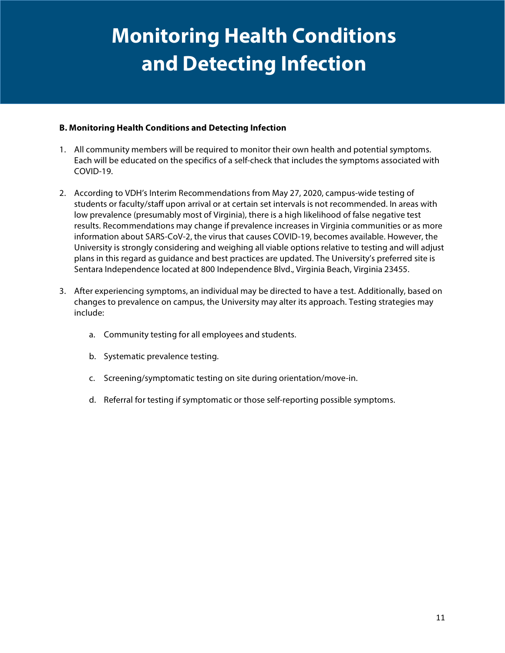# **Monitoring Health Conditions and Detecting Infection**

#### **B. Monitoring Health Conditions and Detecting Infection**

- 1. All community members will be required to monitor their own health and potential symptoms. Each will be educated on the specifics of a self-check that includes the symptoms associated with COVID-19.
- 2. According to VDH's Interim Recommendations from May 27, 2020, campus-wide testing of students or faculty/staff upon arrival or at certain set intervals is not recommended. In areas with low prevalence (presumably most of Virginia), there is a high likelihood of false negative test results. Recommendations may change if prevalence increases in Virginia communities or as more information about SARS-CoV-2, the virus that causes COVID-19, becomes available. However, the University is strongly considering and weighing all viable options relative to testing and will adjust plans in this regard as guidance and best practices are updated. The University's preferred site is Sentara Independence located at 800 Independence Blvd., Virginia Beach, Virginia 23455.
- 3. After experiencing symptoms, an individual may be directed to have a test. Additionally, based on changes to prevalence on campus, the University may alter its approach. Testing strategies may include:
	- a. Community testing for all employees and students.
	- b. Systematic prevalence testing.
	- c. Screening/symptomatic testing on site during orientation/move-in.
	- d. Referral for testing if symptomatic or those self-reporting possible symptoms.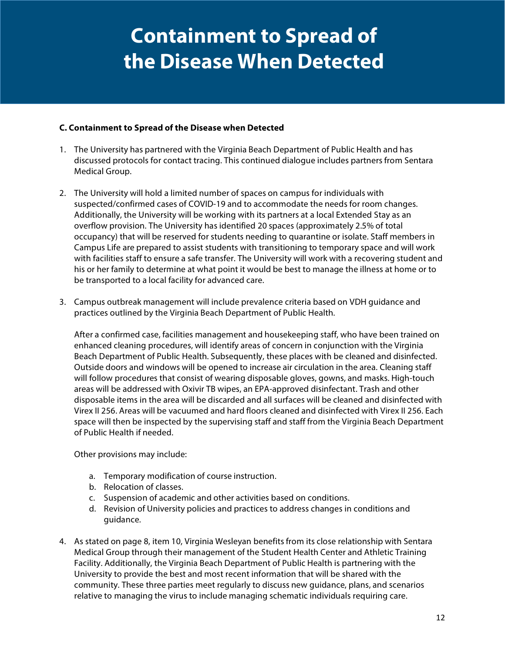## **Containment to Spread of the Disease When Detected**

#### **C. Containment to Spread of the Disease when Detected**

- 1. The University has partnered with the Virginia Beach Department of Public Health and has discussed protocols for contact tracing. This continued dialogue includes partners from Sentara Medical Group.
- 2. The University will hold a limited number of spaces on campus for individuals with suspected/confirmed cases of COVID-19 and to accommodate the needs for room changes. Additionally, the University will be working with its partners at a local Extended Stay as an overflow provision. The University has identified 20 spaces (approximately 2.5% of total occupancy) that will be reserved for students needing to quarantine or isolate. Staff members in Campus Life are prepared to assist students with transitioning to temporary space and will work with facilities staff to ensure a safe transfer. The University will work with a recovering student and his or her family to determine at what point it would be best to manage the illness at home or to be transported to a local facility for advanced care.
- 3. Campus outbreak management will include prevalence criteria based on VDH guidance and practices outlined by the Virginia Beach Department of Public Health.

After a confirmed case, facilities management and housekeeping staff, who have been trained on enhanced cleaning procedures, will identify areas of concern in conjunction with the Virginia Beach Department of Public Health. Subsequently, these places with be cleaned and disinfected. Outside doors and windows will be opened to increase air circulation in the area. Cleaning staff will follow procedures that consist of wearing disposable gloves, gowns, and masks. High-touch areas will be addressed with Oxivir TB wipes, an EPA-approved disinfectant. Trash and other disposable items in the area will be discarded and all surfaces will be cleaned and disinfected with Virex II 256. Areas will be vacuumed and hard floors cleaned and disinfected with Virex II 256. Each space will then be inspected by the supervising staff and staff from the Virginia Beach Department of Public Health if needed.

Other provisions may include:

- a. Temporary modification of course instruction.
- b. Relocation of classes.
- c. Suspension of academic and other activities based on conditions.
- d. Revision of University policies and practices to address changes in conditions and guidance.
- 4. As stated on page 8, item 10, Virginia Wesleyan benefits from its close relationship with Sentara Medical Group through their management of the Student Health Center and Athletic Training Facility. Additionally, the Virginia Beach Department of Public Health is partnering with the University to provide the best and most recent information that will be shared with the community. These three parties meet regularly to discuss new guidance, plans, and scenarios relative to managing the virus to include managing schematic individuals requiring care.